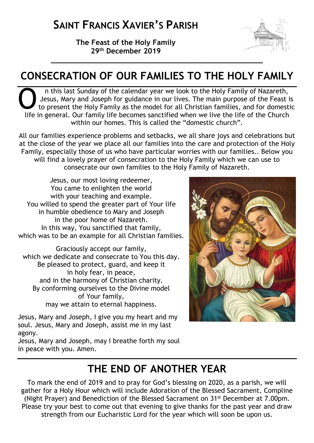**The Feast of the Holy Family 29th December 2019**



# **CONSECRATION OF OUR FAMILIES TO THE HOLY FAMILY**

n this last Sunday of the calendar year we look to the Holy Family of Nazareth, Jesus, Mary and Joseph for guidance in our lives. The main purpose of the Feast is to present the Holy Family as the model for all Christian families, and for domestic life in general. Our family life becomes sanctified when we live the life of the Church within our homes. This is called the "domestic church". O<br>Uifa

All our families experience problems and setbacks, we all share joys and celebrations but at the close of the year we place all our families into the care and protection of the Holy Family, especially those of us who have particular worries with our families.. Below you will find a lovely prayer of consecration to the Holy Family which we can use to consecrate our own families to the Holy Family of Nazareth.

Jesus, our most loving redeemer, You came to enlighten the world with your teaching and example. You willed to spend the greater part of Your life in humble obedience to Mary and Joseph in the poor home of Nazareth. In this way, You sanctified that family, which was to be an example for all Christian families.

Graciously accept our family, which we dedicate and consecrate to You this day. Be pleased to protect, guard, and keep it in holy fear, in peace, and in the harmony of Christian charity. By conforming ourselves to the Divine model of Your family, may we attain to eternal happiness.

Jesus, Mary and Joseph, I give you my heart and my soul. Jesus, Mary and Joseph, assist me in my last agony.

Jesus, Mary and Joseph, may I breathe forth my soul in peace with you. Amen.

# **THE END OF ANOTHER YEAR**

To mark the end of 2019 and to pray for God's blessing on 2020, as a parish, we will gather for a Holy Hour which will include Adoration of the Blessed Sacrament, Compline (Night Prayer) and Benediction of the Blessed Sacrament on 31st December at 7.00pm. Please try your best to come out that evening to give thanks for the past year and draw strength from our Eucharistic Lord for the year which will soon be upon us.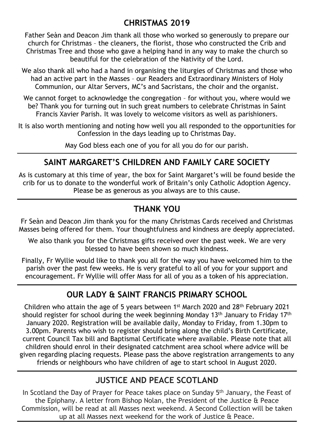## **CHRISTMAS 2019**

Father Seàn and Deacon Jim thank all those who worked so generously to prepare our church for Christmas – the cleaners, the florist, those who constructed the Crib and Christmas Tree and those who gave a helping hand in any way to make the church so beautiful for the celebration of the Nativity of the Lord.

We also thank all who had a hand in organising the liturgies of Christmas and those who had an active part in the Masses – our Readers and Extraordinary Ministers of Holy Communion, our Altar Servers, MC's and Sacristans, the choir and the organist.

We cannot forget to acknowledge the congregation - for without you, where would we be? Thank you for turning out in such great numbers to celebrate Christmas in Saint Francis Xavier Parish. It was lovely to welcome visitors as well as parishioners.

It is also worth mentioning and noting how well you all responded to the opportunities for Confession in the days leading up to Christmas Day.

May God bless each one of you for all you do for our parish.

### **SAINT MARGARET'S CHILDREN AND FAMILY CARE SOCIETY**

As is customary at this time of year, the box for Saint Margaret's will be found beside the crib for us to donate to the wonderful work of Britain's only Catholic Adoption Agency. Please be as generous as you always are to this cause.

### **THANK YOU**

Fr Seàn and Deacon Jim thank you for the many Christmas Cards received and Christmas Masses being offered for them. Your thoughtfulness and kindness are deeply appreciated.

We also thank you for the Christmas gifts received over the past week. We are very blessed to have been shown so much kindness.

Finally, Fr Wyllie would like to thank you all for the way you have welcomed him to the parish over the past few weeks. He is very grateful to all of you for your support and encouragement. Fr Wyllie will offer Mass for all of you as a token of his appreciation.

## **OUR LADY & SAINT FRANCIS PRIMARY SCHOOL**

Children who attain the age of 5 years between 1st March 2020 and 28th February 2021 should register for school during the week beginning Monday 13<sup>th</sup> January to Friday 17<sup>th</sup> January 2020. Registration will be available daily, Monday to Friday, from 1.30pm to 3.00pm. Parents who wish to register should bring along the child's Birth Certificate, current Council Tax bill and Baptismal Certificate where available. Please note that all children should enrol in their designated catchment area school where advice will be given regarding placing requests. Please pass the above registration arrangements to any friends or neighbours who have children of age to start school in August 2020.

### **JUSTICE AND PEACE SCOTLAND**

In Scotland the Day of Prayer for Peace takes place on Sunday 5<sup>th</sup> January, the Feast of the Epiphany. A letter from Bishop Nolan, the President of the Justice & Peace Commission, will be read at all Masses next weekend. A Second Collection will be taken up at all Masses next weekend for the work of Justice & Peace.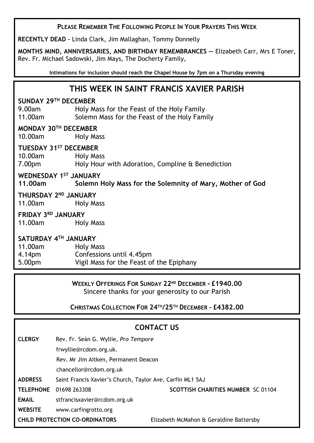#### **PLEASE REMEMBER THE FOLLOWING PEOPLE IN YOUR PRAYERS THIS WEEK**

**RECENTLY DEAD –** Linda Clark, Jim Mallaghan, Tommy Donnelly

**MONTHS MIND, ANNIVERSARIES, AND BIRTHDAY REMEMBRANCES —** Elizabeth Carr, Mrs E Toner, Rev. Fr. Michael Sadowski, Jim Mays, The Docherty Family,

**Intimations for inclusion should reach the Chapel House by 7pm on a Thursday evening**

### **THIS WEEK IN SAINT FRANCIS XAVIER PARISH**

#### **SUNDAY 29TH DECEMBER**

9.00am Holy Mass for the Feast of the Holy Family 11.00am Solemn Mass for the Feast of the Holy Family

#### **MONDAY 30TH DECEMBER**

10.00am Holy Mass

#### **TUESDAY 31ST DECEMBER**

10.00am Holy Mass 7.00pm Holy Hour with Adoration, Compline & Benediction

#### **WEDNESDAY 1ST JANUARY**

**11.00am Solemn Holy Mass for the Solemnity of Mary, Mother of God**

#### **THURSDAY 2ND JANUARY**

11.00am Holy Mass

#### **FRIDAY 3RD JANUARY**

11.00am Holy Mass

#### **SATURDAY 4TH JANUARY**

| 11.00am            | Holy Mass                                |
|--------------------|------------------------------------------|
| 4.14pm             | Confessions until 4.45pm                 |
| 5.00 <sub>pm</sub> | Vigil Mass for the Feast of the Epiphany |

#### **WEEKLY OFFERINGS FOR SUNDAY 22ND DECEMBER - £1940.00** Sincere thanks for your generosity to our Parish

**CHRISTMAS COLLECTION FOR 24TH/25TH DECEMBER - £4382.00**

|                                       |                                                           | <b>CONTACT US</b>                         |  |
|---------------------------------------|-----------------------------------------------------------|-------------------------------------------|--|
| <b>CLERGY</b>                         | Rev. Fr. Seàn G. Wyllie, Pro Tempore                      |                                           |  |
|                                       | frwyllie@rcdom.org.uk.                                    |                                           |  |
|                                       | Rev. Mr Jim Aitken, Permanent Deacon                      |                                           |  |
|                                       | chancellor@rcdom.org.uk                                   |                                           |  |
| <b>ADDRESS</b>                        | Saint Francis Xavier's Church, Taylor Ave, Carfin ML1 5AJ |                                           |  |
| <b>TELEPHONE</b>                      | 01698 263308                                              | <b>SCOTTISH CHARITIES NUMBER SC 01104</b> |  |
| <b>EMAIL</b>                          | stfrancisxavier@rcdom.org.uk                              |                                           |  |
| <b>WEBSITE</b>                        | www.carfingrotto.org                                      |                                           |  |
| <b>CHILD PROTECTION CO-ORDINATORS</b> |                                                           | Elizabeth McMahon & Geraldine Battersby   |  |